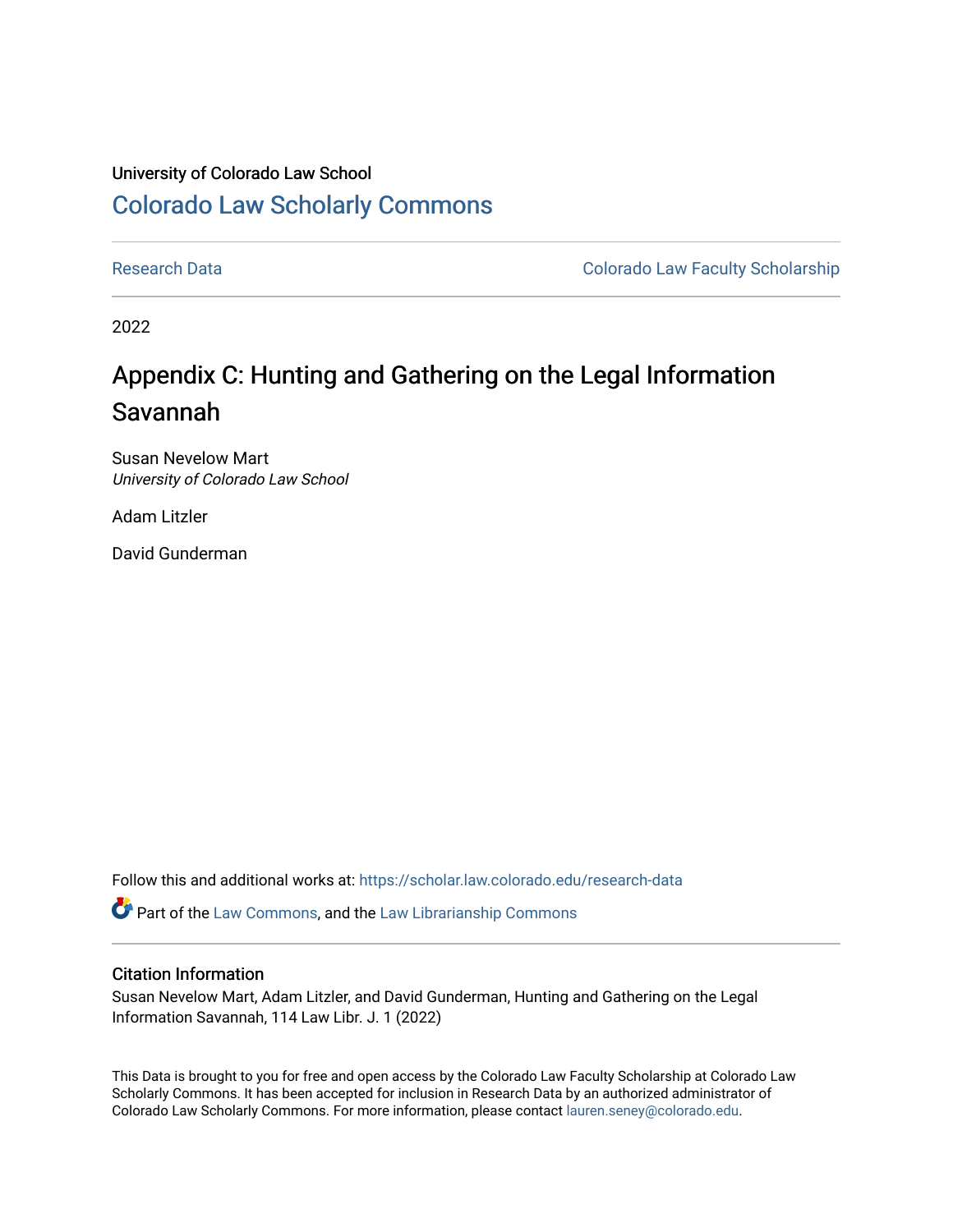# University of Colorado Law School [Colorado Law Scholarly Commons](https://scholar.law.colorado.edu/)

[Research Data](https://scholar.law.colorado.edu/research-data) Colorado Law Faculty Scholarship

2022

# Appendix C: Hunting and Gathering on the Legal Information Savannah

Susan Nevelow Mart University of Colorado Law School

Adam Litzler

David Gunderman

Follow this and additional works at: [https://scholar.law.colorado.edu/research-data](https://scholar.law.colorado.edu/research-data?utm_source=scholar.law.colorado.edu%2Fresearch-data%2F12&utm_medium=PDF&utm_campaign=PDFCoverPages) 

Part of the [Law Commons](https://network.bepress.com/hgg/discipline/578?utm_source=scholar.law.colorado.edu%2Fresearch-data%2F12&utm_medium=PDF&utm_campaign=PDFCoverPages), and the [Law Librarianship Commons](https://network.bepress.com/hgg/discipline/1393?utm_source=scholar.law.colorado.edu%2Fresearch-data%2F12&utm_medium=PDF&utm_campaign=PDFCoverPages)

#### Citation Information

Susan Nevelow Mart, Adam Litzler, and David Gunderman, Hunting and Gathering on the Legal Information Savannah, 114 Law Libr. J. 1 (2022)

This Data is brought to you for free and open access by the Colorado Law Faculty Scholarship at Colorado Law Scholarly Commons. It has been accepted for inclusion in Research Data by an authorized administrator of Colorado Law Scholarly Commons. For more information, please contact [lauren.seney@colorado.edu.](mailto:lauren.seney@colorado.edu)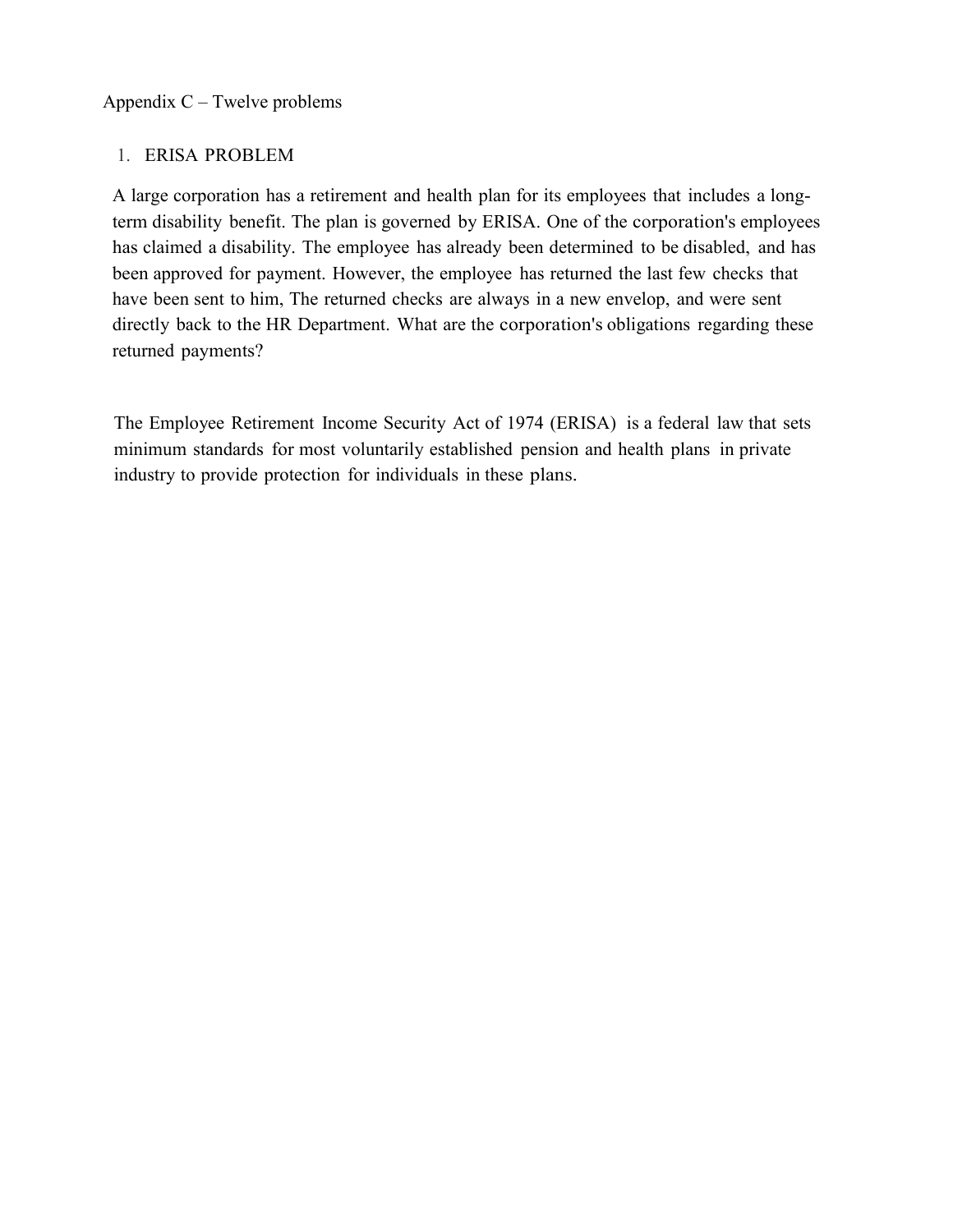# 1. ERISA PROBLEM

A large corporation has a retirement and health plan for its employees that includes a longterm disability benefit. The plan is governed by ERISA. One of the corporation's employees has claimed a disability. The employee has already been determined to be disabled, and has been approved for payment. However, the employee has returned the last few checks that have been sent to him, The returned checks are always in a new envelop, and were sent directly back to the HR Department. What are the corporation's obligations regarding these returned payments?

The Employee Retirement Income Security Act of 1974 (ERISA) is a federal law that sets minimum standards for most voluntarily established pension and health plans in private industry to provide protection for individuals in these plans.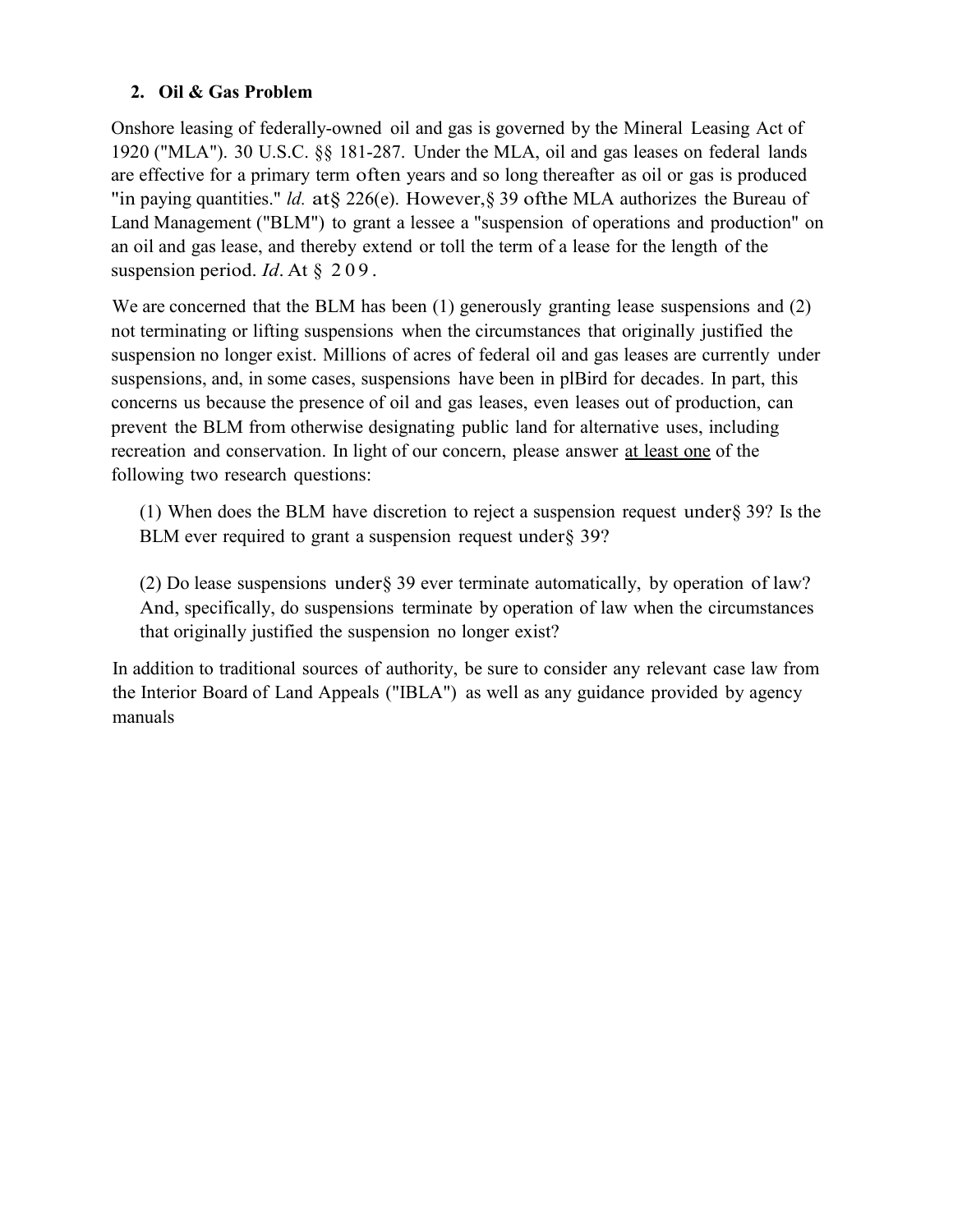### **2. Oil & Gas Problem**

Onshore leasing of federally-owned oil and gas is governed by the Mineral Leasing Act of 1920 ("MLA"). 30 U.S.C. §§ 181-287. Under the MLA, oil and gas leases on federal lands are effective for a primary term often years and so long thereafter as oil or gas is produced "in paying quantities." *ld.* at§ 226(e). However,§ 39 ofthe MLA authorizes the Bureau of Land Management ("BLM") to grant a lessee a "suspension of operations and production" on an oil and gas lease, and thereby extend or toll the term of a lease for the length of the suspension period. *Id*. At § 209 .

We are concerned that the BLM has been (1) generously granting lease suspensions and (2) not terminating or lifting suspensions when the circumstances that originally justified the suspension no longer exist. Millions of acres of federal oil and gas leases are currently under suspensions, and, in some cases, suspensions have been in plBird for decades. In part, this concerns us because the presence of oil and gas leases, even leases out of production, can prevent the BLM from otherwise designating public land for alternative uses, including recreation and conservation. In light of our concern, please answer at least one of the following two research questions:

(1) When does the BLM have discretion to reject a suspension request under§ 39? Is the BLM ever required to grant a suspension request under§ 39?

(2) Do lease suspensions under§ 39 ever terminate automatically, by operation of law? And, specifically, do suspensions terminate by operation of law when the circumstances that originally justified the suspension no longer exist?

In addition to traditional sources of authority, be sure to consider any relevant case law from the Interior Board of Land Appeals ("IBLA") as well as any guidance provided by agency manuals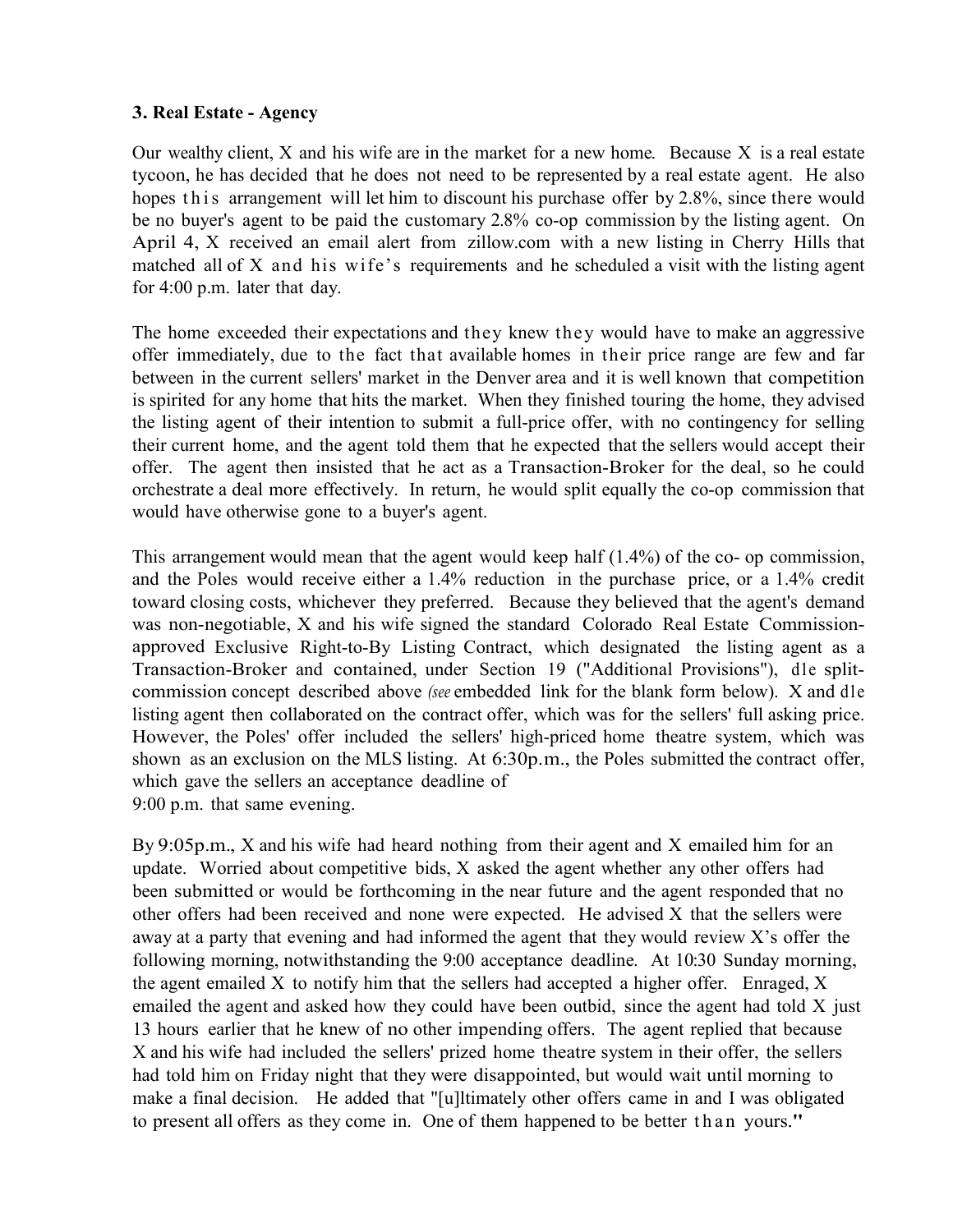#### **3. Real Estate - Agency**

Our wealthy client,  $X$  and his wife are in the market for a new home. Because  $X$  is a real estate tycoon, he has decided that he does not need to be represented by a real estate agent. He also hopes this arrangement will let him to discount his purchase offer by 2.8%, since there would be no buyer's agent to be paid the customary 2.8% co-op commission by the listing agent. On April 4, X received an email alert from zillow.com with a new listing in Cherry Hills that matched all of X and his wife's requirements and he scheduled a visit with the listing agent for 4:00 p.m. later that day.

The home exceeded their expectations and they knew they would have to make an aggressive offer immediately, due to the fact that available homes in their price range are few and far between in the current sellers' market in the Denver area and it is well known that competition is spirited for any home that hits the market. When they finished touring the home, they advised the listing agent of their intention to submit a full-price offer, with no contingency for selling their current home, and the agent told them that he expected that the sellers would accept their offer. The agent then insisted that he act as a Transaction-Broker for the deal, so he could orchestrate a deal more effectively. In return, he would split equally the co-op commission that would have otherwise gone to a buyer's agent.

This arrangement would mean that the agent would keep half (1.4%) of the co- op commission, and the Poles would receive either a 1.4% reduction in the purchase price, or a 1.4% credit toward closing costs, whichever they preferred. Because they believed that the agent's demand was non-negotiable, X and his wife signed the standard Colorado Real Estate Commissionapproved Exclusive Right-to-By Listing Contract, which designated the listing agent as a Transaction-Broker and contained, under Section 19 ("Additional Provisions"), d1e splitcommission concept described above *(see* embedded link for the blank form below). X and d1e listing agent then collaborated on the contract offer, which was for the sellers' full asking price. However, the Poles' offer included the sellers' high-priced home theatre system, which was shown as an exclusion on the MLS listing. At 6:30p.m., the Poles submitted the contract offer, which gave the sellers an acceptance deadline of 9:00 p.m. that same evening.

By 9:05p.m., X and his wife had heard nothing from their agent and X emailed him for an update. Worried about competitive bids, X asked the agent whether any other offers had been submitted or would be forthcoming in the near future and the agent responded that no other offers had been received and none were expected. He advised X that the sellers were away at a party that evening and had informed the agent that they would review X's offer the following morning, notwithstanding the 9:00 acceptance deadline. At 10:30 Sunday morning, the agent emailed X to notify him that the sellers had accepted a higher offer. Enraged, X emailed the agent and asked how they could have been outbid, since the agent had told X just 13 hours earlier that he knew of no other impending offers. The agent replied that because X and his wife had included the sellers' prized home theatre system in their offer, the sellers had told him on Friday night that they were disappointed, but would wait until morning to make a final decision. He added that "[u]ltimately other offers came in and I was obligated to present all offers as they come in. One of them happened to be better than yours."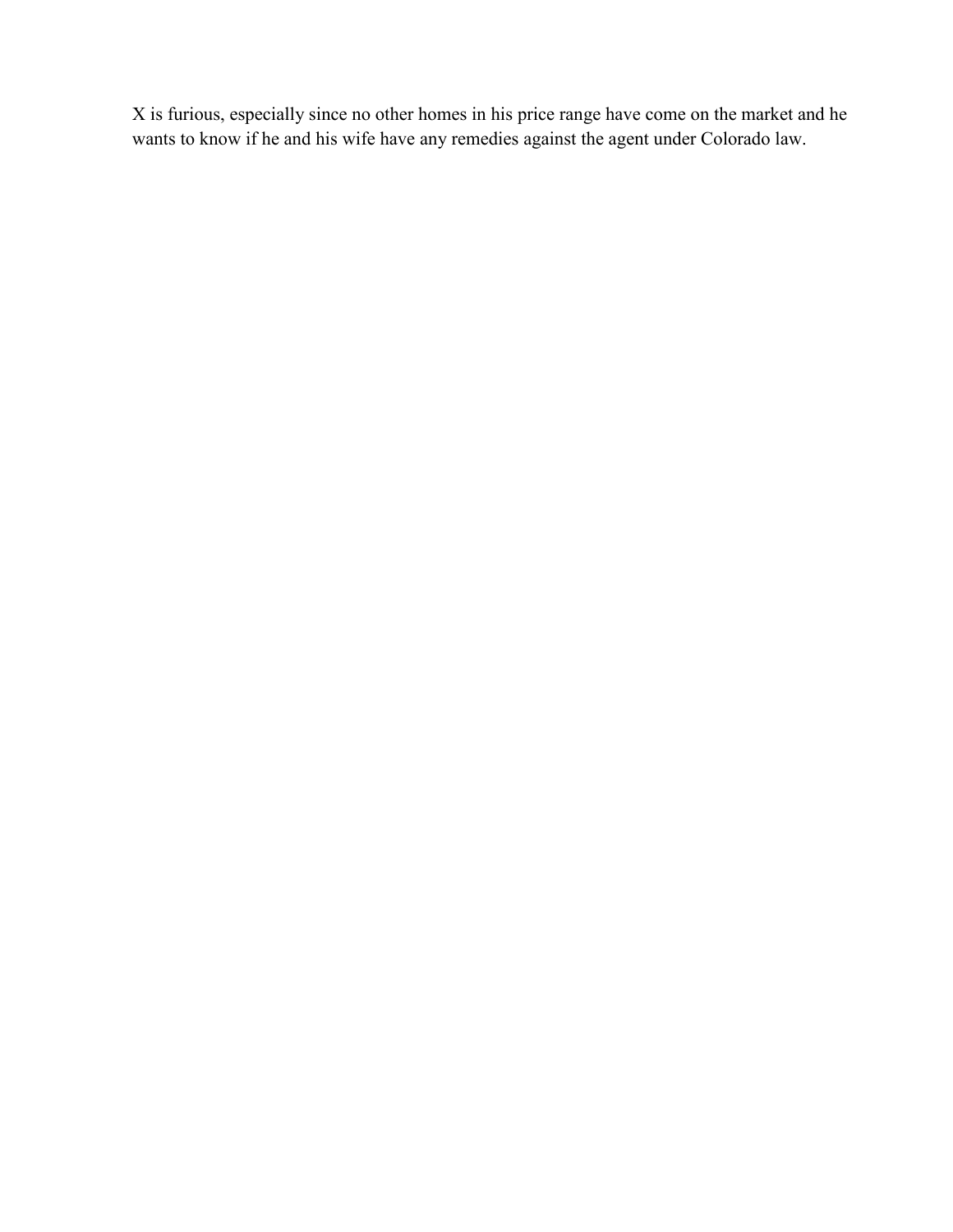X is furious, especially since no other homes in his price range have come on the market and he wants to know if he and his wife have any remedies against the agent under Colorado law.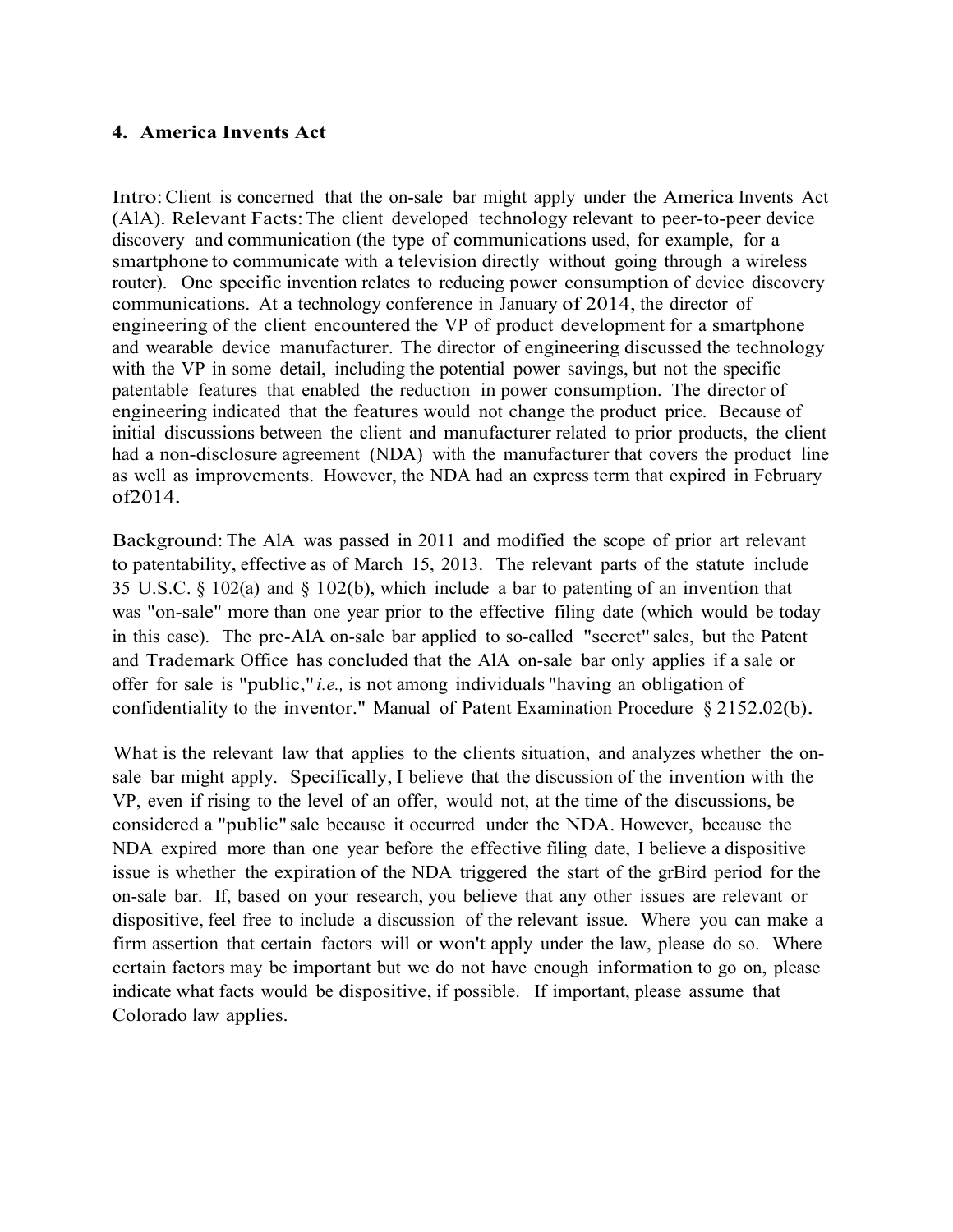#### **4. America Invents Act**

Intro:Client is concerned that the on-sale bar might apply under the America Invents Act (AlA). Relevant Facts:The client developed technology relevant to peer-to-peer device discovery and communication (the type of communications used, for example, for a smartphone to communicate with a television directly without going through a wireless router). One specific invention relates to reducing power consumption of device discovery communications. At a technology conference in January of 2014, the director of engineering of the client encountered the VP of product development for a smartphone and wearable device manufacturer. The director of engineering discussed the technology with the VP in some detail, including the potential power savings, but not the specific patentable features that enabled the reduction in power consumption. The director of engineering indicated that the features would not change the product price. Because of initial discussions between the client and manufacturer related to prior products, the client had a non-disclosure agreement (NDA) with the manufacturer that covers the product line as well as improvements. However, the NDA had an express term that expired in February of2014.

Background: The AlA was passed in 2011 and modified the scope of prior art relevant to patentability, effective as of March 15, 2013. The relevant parts of the statute include 35 U.S.C. § 102(a) and § 102(b), which include a bar to patenting of an invention that was "on-sale" more than one year prior to the effective filing date (which would be today in this case). The pre-AlA on-sale bar applied to so-called "secret" sales, but the Patent and Trademark Office has concluded that the AlA on-sale bar only applies if a sale or offer for sale is "public," *i.e.,* is not among individuals "having an obligation of confidentiality to the inventor." Manual of Patent Examination Procedure § 2152.02(b).

What is the relevant law that applies to the clients situation, and analyzes whether the onsale bar might apply. Specifically, I believe that the discussion of the invention with the VP, even if rising to the level of an offer, would not, at the time of the discussions, be considered a "public" sale because it occurred under the NDA. However, because the NDA expired more than one year before the effective filing date, I believe a dispositive issue is whether the expiration of the NDA triggered the start of the grBird period for the on-sale bar. If, based on your research, you believe that any other issues are relevant or dispositive, feel free to include a discussion of the relevant issue. Where you can make a firm assertion that certain factors will or won't apply under the law, please do so. Where certain factors may be important but we do not have enough information to go on, please indicate what facts would be dispositive, if possible. If important, please assume that Colorado law applies.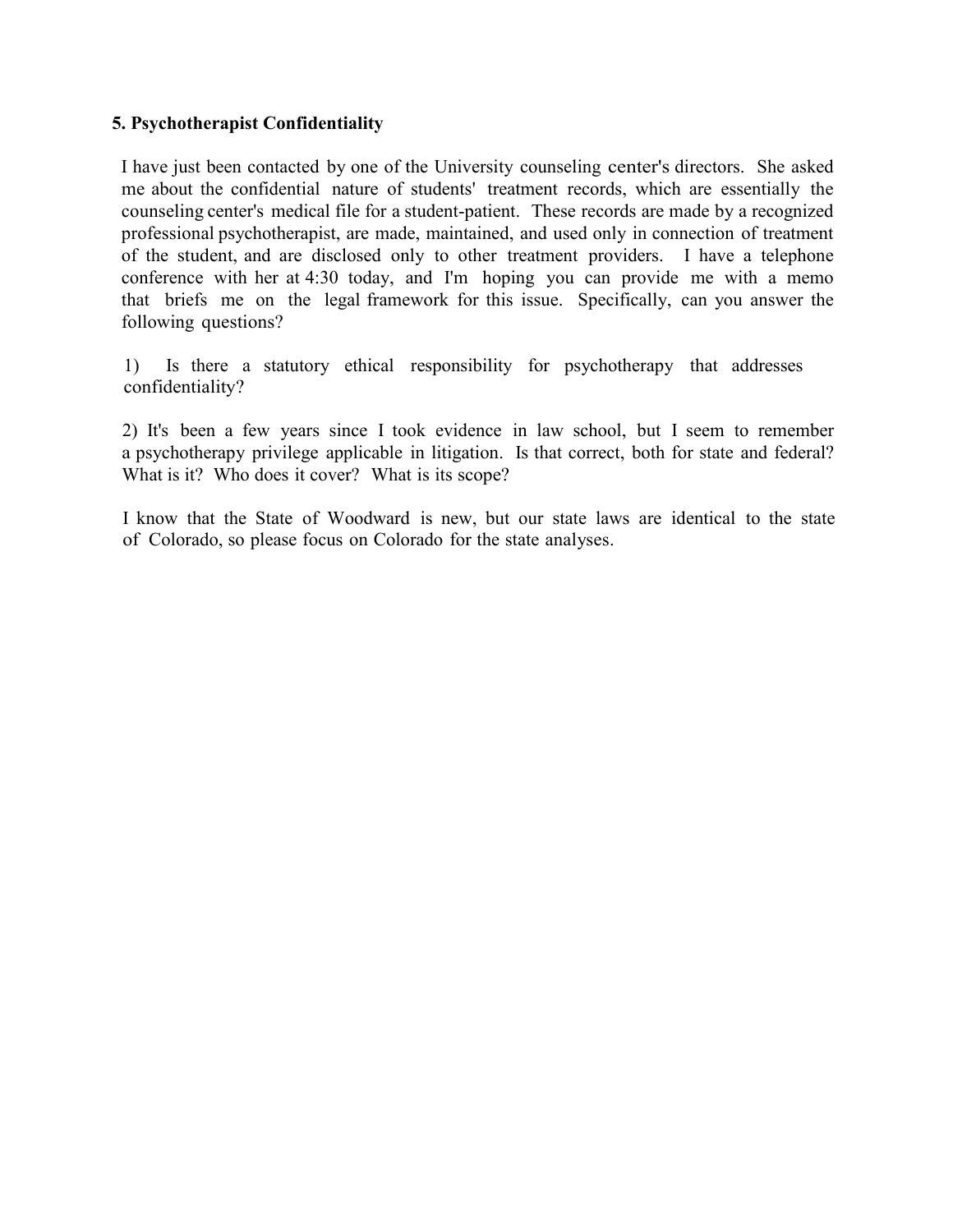#### **5. Psychotherapist Confidentiality**

I have just been contacted by one of the University counseling center's directors. She asked me about the confidential nature of students' treatment records, which are essentially the counseling center's medical file for a student-patient. These records are made by a recognized professional psychotherapist, are made, maintained, and used only in connection of treatment of the student, and are disclosed only to other treatment providers. I have a telephone conference with her at 4:30 today, and I'm hoping you can provide me with a memo that briefs me on the legal framework for this issue. Specifically, can you answer the following questions?

1) Is there a statutory ethical responsibility for psychotherapy that addresses confidentiality?

2) It's been a few years since I took evidence in law school, but I seem to remember a psychotherapy privilege applicable in litigation. Is that correct, both for state and federal? What is it? Who does it cover? What is its scope?

I know that the State of Woodward is new, but our state laws are identical to the state of Colorado, so please focus on Colorado for the state analyses.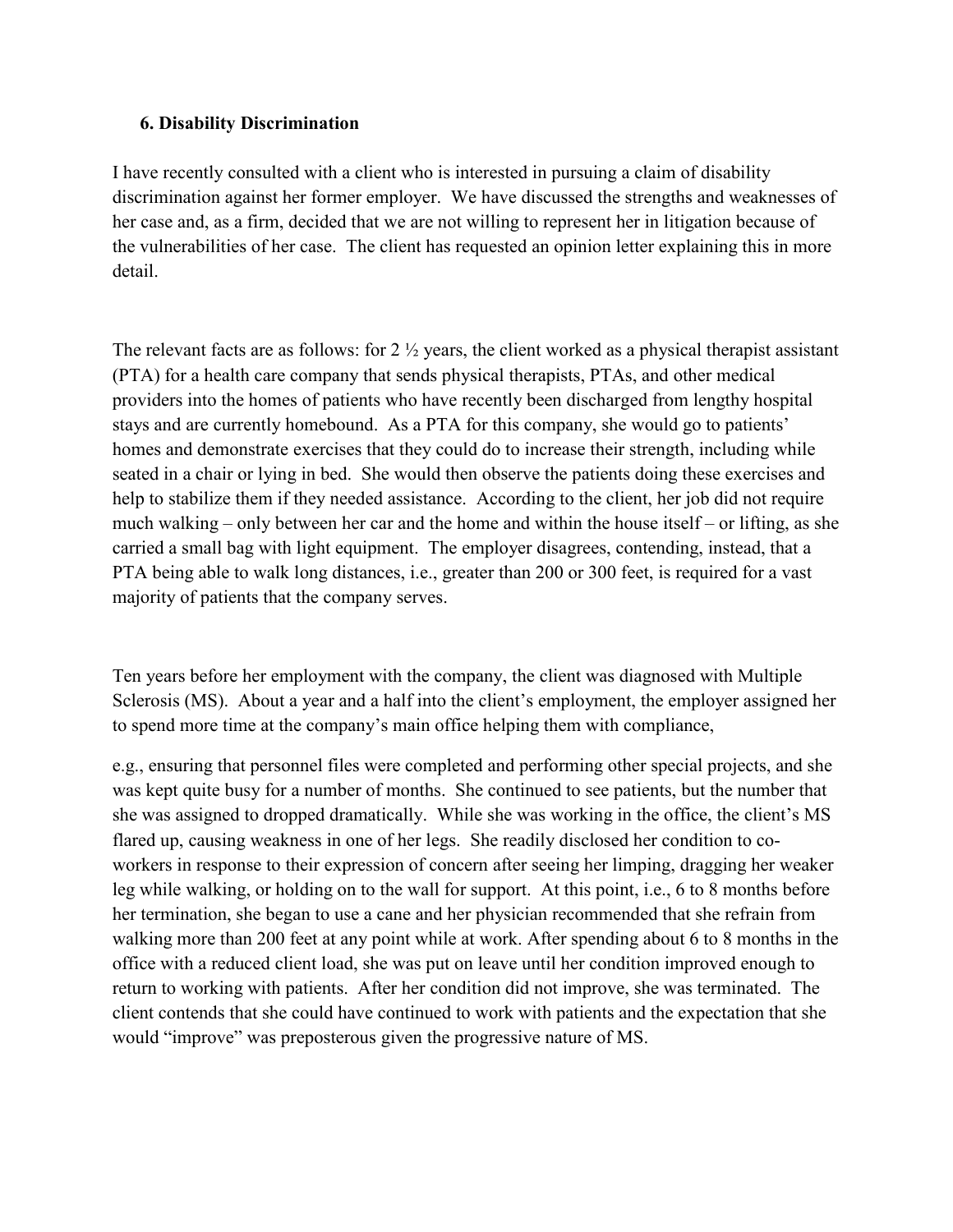#### **6. Disability Discrimination**

I have recently consulted with a client who is interested in pursuing a claim of disability discrimination against her former employer. We have discussed the strengths and weaknesses of her case and, as a firm, decided that we are not willing to represent her in litigation because of the vulnerabilities of her case. The client has requested an opinion letter explaining this in more detail.

The relevant facts are as follows: for 2 ½ years, the client worked as a physical therapist assistant (PTA) for a health care company that sends physical therapists, PTAs, and other medical providers into the homes of patients who have recently been discharged from lengthy hospital stays and are currently homebound. As a PTA for this company, she would go to patients' homes and demonstrate exercises that they could do to increase their strength, including while seated in a chair or lying in bed. She would then observe the patients doing these exercises and help to stabilize them if they needed assistance. According to the client, her job did not require much walking – only between her car and the home and within the house itself – or lifting, as she carried a small bag with light equipment. The employer disagrees, contending, instead, that a PTA being able to walk long distances, i.e., greater than 200 or 300 feet, is required for a vast majority of patients that the company serves.

Ten years before her employment with the company, the client was diagnosed with Multiple Sclerosis (MS). About a year and a half into the client's employment, the employer assigned her to spend more time at the company's main office helping them with compliance,

e.g., ensuring that personnel files were completed and performing other special projects, and she was kept quite busy for a number of months. She continued to see patients, but the number that she was assigned to dropped dramatically. While she was working in the office, the client's MS flared up, causing weakness in one of her legs. She readily disclosed her condition to coworkers in response to their expression of concern after seeing her limping, dragging her weaker leg while walking, or holding on to the wall for support. At this point, i.e., 6 to 8 months before her termination, she began to use a cane and her physician recommended that she refrain from walking more than 200 feet at any point while at work. After spending about 6 to 8 months in the office with a reduced client load, she was put on leave until her condition improved enough to return to working with patients. After her condition did not improve, she was terminated. The client contends that she could have continued to work with patients and the expectation that she would "improve" was preposterous given the progressive nature of MS.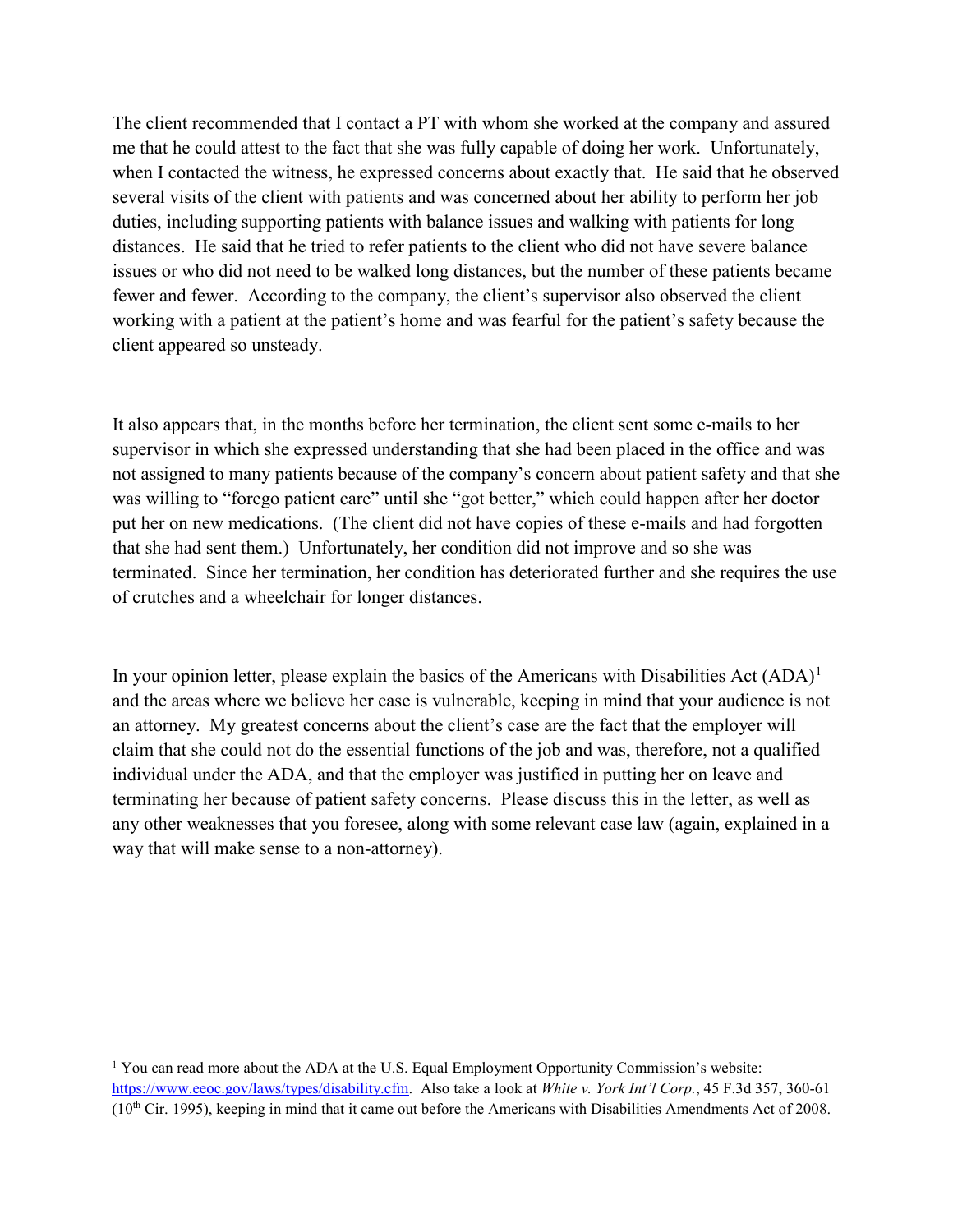The client recommended that I contact a PT with whom she worked at the company and assured me that he could attest to the fact that she was fully capable of doing her work. Unfortunately, when I contacted the witness, he expressed concerns about exactly that. He said that he observed several visits of the client with patients and was concerned about her ability to perform her job duties, including supporting patients with balance issues and walking with patients for long distances. He said that he tried to refer patients to the client who did not have severe balance issues or who did not need to be walked long distances, but the number of these patients became fewer and fewer. According to the company, the client's supervisor also observed the client working with a patient at the patient's home and was fearful for the patient's safety because the client appeared so unsteady.

It also appears that, in the months before her termination, the client sent some e-mails to her supervisor in which she expressed understanding that she had been placed in the office and was not assigned to many patients because of the company's concern about patient safety and that she was willing to "forego patient care" until she "got better," which could happen after her doctor put her on new medications. (The client did not have copies of these e-mails and had forgotten that she had sent them.) Unfortunately, her condition did not improve and so she was terminated. Since her termination, her condition has deteriorated further and she requires the use of crutches and a wheelchair for longer distances.

In your opinion letter, please explain the basics of the Americans with Disabilities Act  $(ADA)^1$  $(ADA)^1$ and the areas where we believe her case is vulnerable, keeping in mind that your audience is not an attorney. My greatest concerns about the client's case are the fact that the employer will claim that she could not do the essential functions of the job and was, therefore, not a qualified individual under the ADA, and that the employer was justified in putting her on leave and terminating her because of patient safety concerns. Please discuss this in the letter, as well as any other weaknesses that you foresee, along with some relevant case law (again, explained in a way that will make sense to a non-attorney).

 $\overline{\phantom{a}}$ 

<span id="page-8-0"></span><sup>&</sup>lt;sup>1</sup> You can read more about the ADA at the U.S. Equal Employment Opportunity Commission's website: https://www.eeoc.gov/laws/types/disability.cfm. Also take a look at *White v. York Int'l Corp.*, 45 F.3d 357, 360-61  $(10<sup>th</sup> Cir. 1995)$ , keeping in mind that it came out before the Americans with Disabilities Amendments Act of 2008.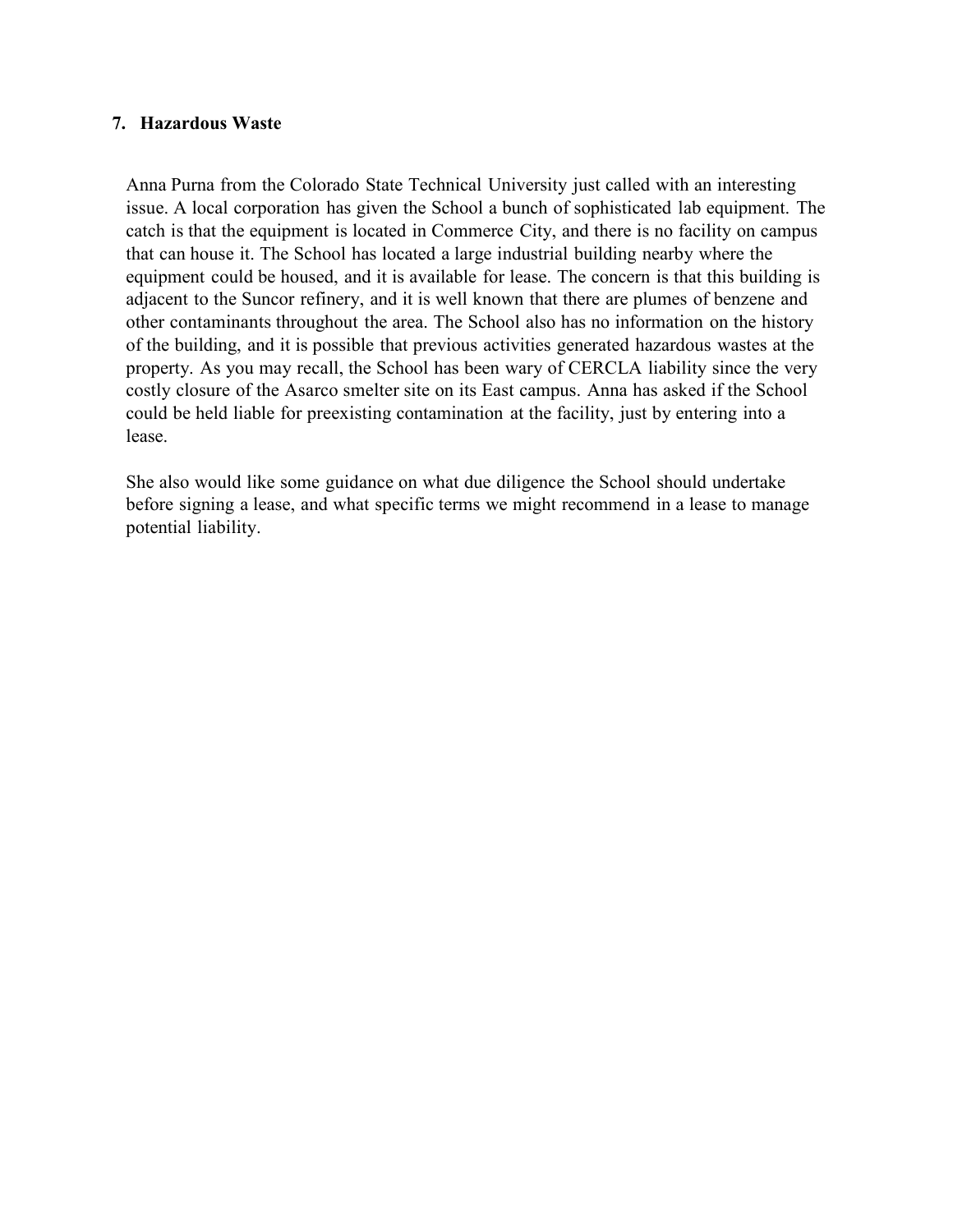#### **7. Hazardous Waste**

Anna Purna from the Colorado State Technical University just called with an interesting issue. A local corporation has given the School a bunch of sophisticated lab equipment. The catch is that the equipment is located in Commerce City, and there is no facility on campus that can house it. The School has located a large industrial building nearby where the equipment could be housed, and it is available for lease. The concern is that this building is adjacent to the Suncor refinery, and it is well known that there are plumes of benzene and other contaminants throughout the area. The School also has no information on the history of the building, and it is possible that previous activities generated hazardous wastes at the property. As you may recall, the School has been wary of CERCLA liability since the very costly closure of the Asarco smelter site on its East campus. Anna has asked if the School could be held liable for preexisting contamination at the facility, just by entering into a lease.

She also would like some guidance on what due diligence the School should undertake before signing a lease, and what specific terms we might recommend in a lease to manage potential liability.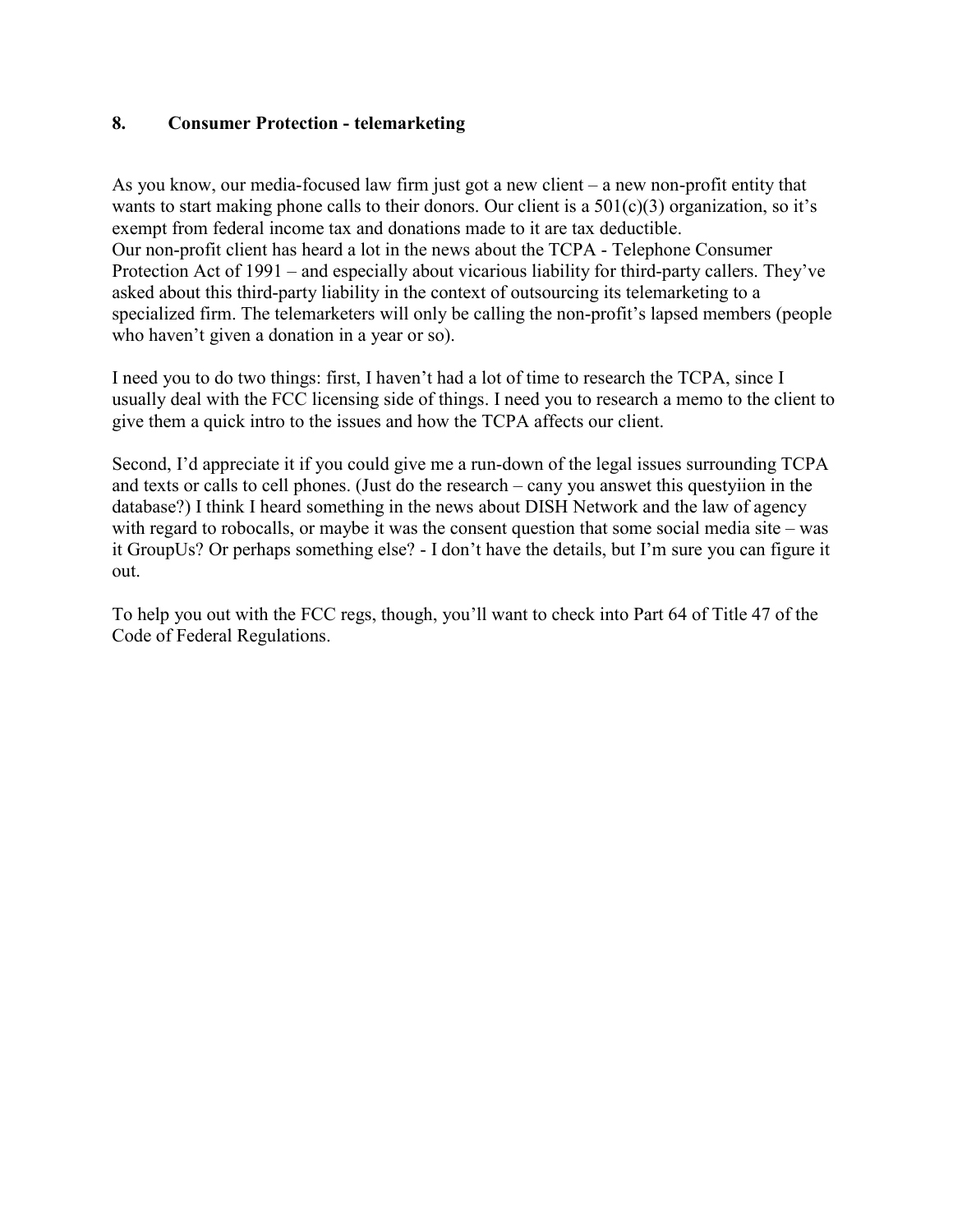#### **8. Consumer Protection - telemarketing**

As you know, our media-focused law firm just got a new client – a new non-profit entity that wants to start making phone calls to their donors. Our client is a  $501(c)(3)$  organization, so it's exempt from federal income tax and donations made to it are tax deductible. Our non-profit client has heard a lot in the news about the TCPA - Telephone Consumer Protection Act of 1991 – and especially about vicarious liability for third-party callers. They've asked about this third-party liability in the context of outsourcing its telemarketing to a specialized firm. The telemarketers will only be calling the non-profit's lapsed members (people who haven't given a donation in a year or so).

I need you to do two things: first, I haven't had a lot of time to research the TCPA, since I usually deal with the FCC licensing side of things. I need you to research a memo to the client to give them a quick intro to the issues and how the TCPA affects our client.

Second, I'd appreciate it if you could give me a run-down of the legal issues surrounding TCPA and texts or calls to cell phones. (Just do the research – cany you answet this questyiion in the database?) I think I heard something in the news about DISH Network and the law of agency with regard to robocalls, or maybe it was the consent question that some social media site – was it GroupUs? Or perhaps something else? - I don't have the details, but I'm sure you can figure it out.

To help you out with the FCC regs, though, you'll want to check into Part 64 of Title 47 of the Code of Federal Regulations.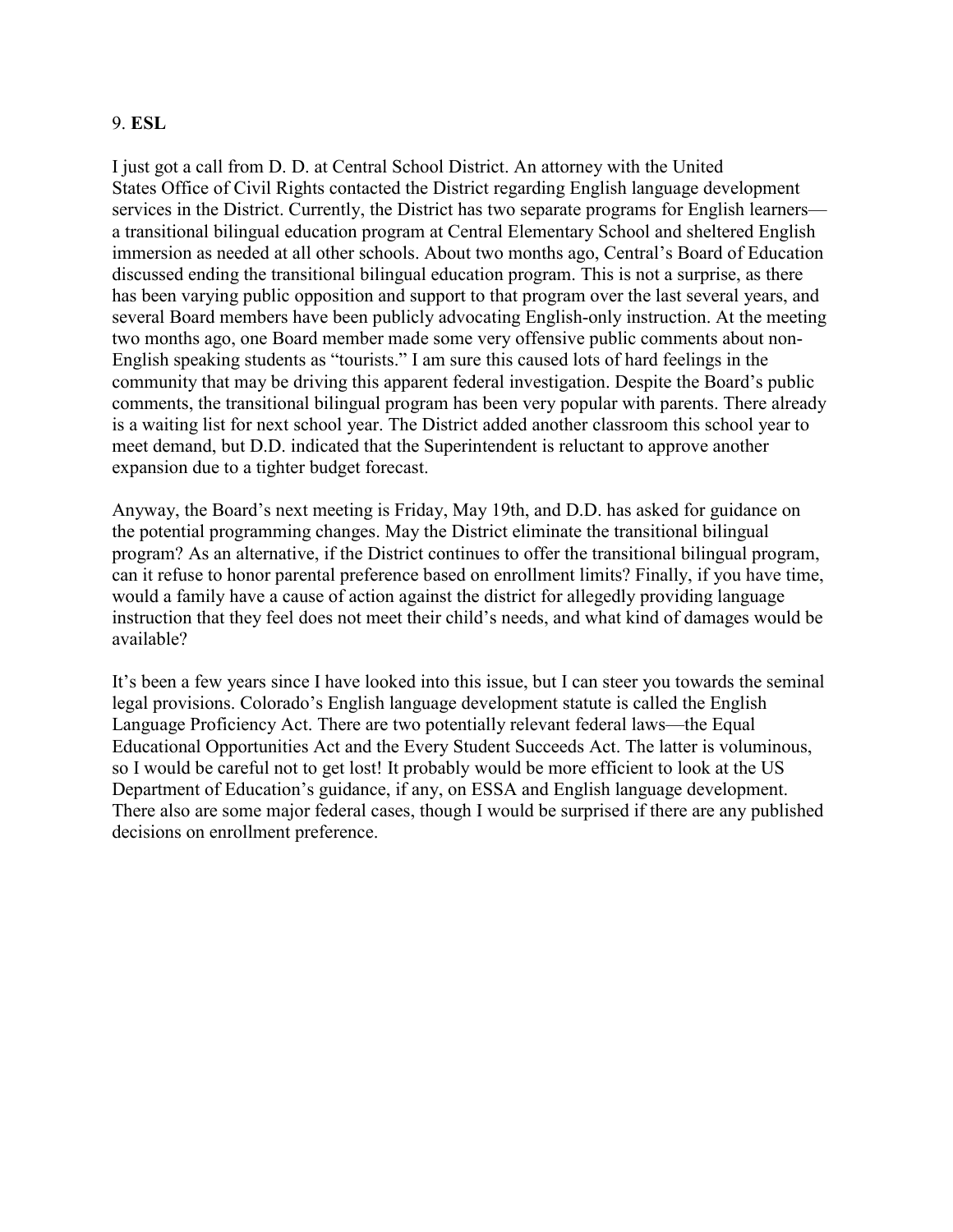#### 9. **ESL**

I just got a call from D. D. at Central School District. An attorney with the United States Office of Civil Rights contacted the District regarding English language development services in the District. Currently, the District has two separate programs for English learners a transitional bilingual education program at Central Elementary School and sheltered English immersion as needed at all other schools. About two months ago, Central's Board of Education discussed ending the transitional bilingual education program. This is not a surprise, as there has been varying public opposition and support to that program over the last several years, and several Board members have been publicly advocating English-only instruction. At the meeting two months ago, one Board member made some very offensive public comments about non-English speaking students as "tourists." I am sure this caused lots of hard feelings in the community that may be driving this apparent federal investigation. Despite the Board's public comments, the transitional bilingual program has been very popular with parents. There already is a waiting list for next school year. The District added another classroom this school year to meet demand, but D.D. indicated that the Superintendent is reluctant to approve another expansion due to a tighter budget forecast.

Anyway, the Board's next meeting is Friday, May 19th, and D.D. has asked for guidance on the potential programming changes. May the District eliminate the transitional bilingual program? As an alternative, if the District continues to offer the transitional bilingual program, can it refuse to honor parental preference based on enrollment limits? Finally, if you have time, would a family have a cause of action against the district for allegedly providing language instruction that they feel does not meet their child's needs, and what kind of damages would be available?

It's been a few years since I have looked into this issue, but I can steer you towards the seminal legal provisions. Colorado's English language development statute is called the English Language Proficiency Act. There are two potentially relevant federal laws—the Equal Educational Opportunities Act and the Every Student Succeeds Act. The latter is voluminous, so I would be careful not to get lost! It probably would be more efficient to look at the US Department of Education's guidance, if any, on ESSA and English language development. There also are some major federal cases, though I would be surprised if there are any published decisions on enrollment preference.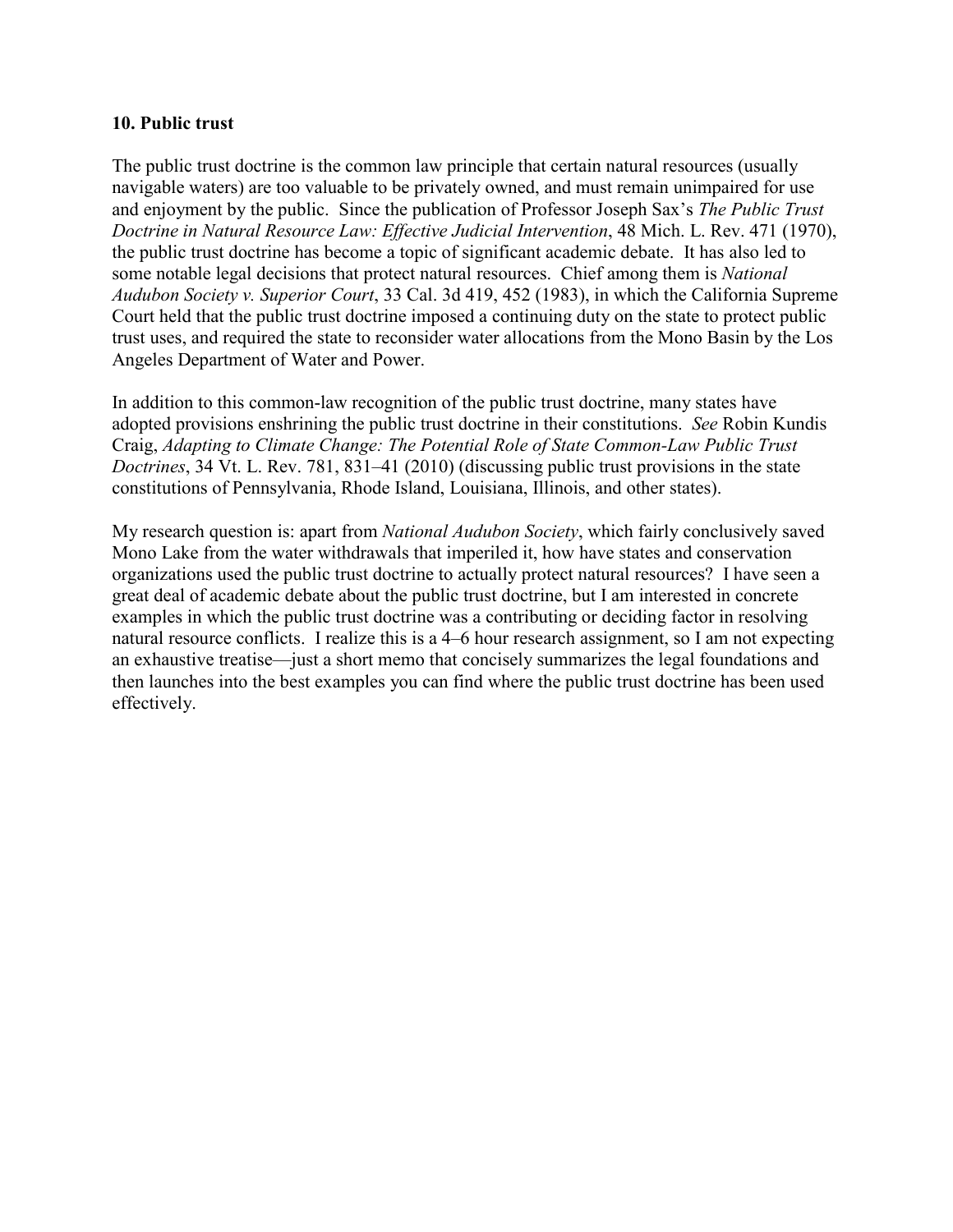#### **10. Public trust**

The public trust doctrine is the common law principle that certain natural resources (usually navigable waters) are too valuable to be privately owned, and must remain unimpaired for use and enjoyment by the public. Since the publication of Professor Joseph Sax's *The Public Trust Doctrine in Natural Resource Law: Effective Judicial Intervention*, 48 Mich. L. Rev. 471 (1970), the public trust doctrine has become a topic of significant academic debate. It has also led to some notable legal decisions that protect natural resources. Chief among them is *National Audubon Society v. Superior Court*, 33 Cal. 3d 419, 452 (1983), in which the California Supreme Court held that the public trust doctrine imposed a continuing duty on the state to protect public trust uses, and required the state to reconsider water allocations from the Mono Basin by the Los Angeles Department of Water and Power.

In addition to this common-law recognition of the public trust doctrine, many states have adopted provisions enshrining the public trust doctrine in their constitutions. *See* Robin Kundis Craig, *Adapting to Climate Change: The Potential Role of State Common-Law Public Trust Doctrines*, 34 Vt. L. Rev. 781, 831–41 (2010) (discussing public trust provisions in the state constitutions of Pennsylvania, Rhode Island, Louisiana, Illinois, and other states).

My research question is: apart from *National Audubon Society*, which fairly conclusively saved Mono Lake from the water withdrawals that imperiled it, how have states and conservation organizations used the public trust doctrine to actually protect natural resources? I have seen a great deal of academic debate about the public trust doctrine, but I am interested in concrete examples in which the public trust doctrine was a contributing or deciding factor in resolving natural resource conflicts. I realize this is a 4–6 hour research assignment, so I am not expecting an exhaustive treatise—just a short memo that concisely summarizes the legal foundations and then launches into the best examples you can find where the public trust doctrine has been used effectively.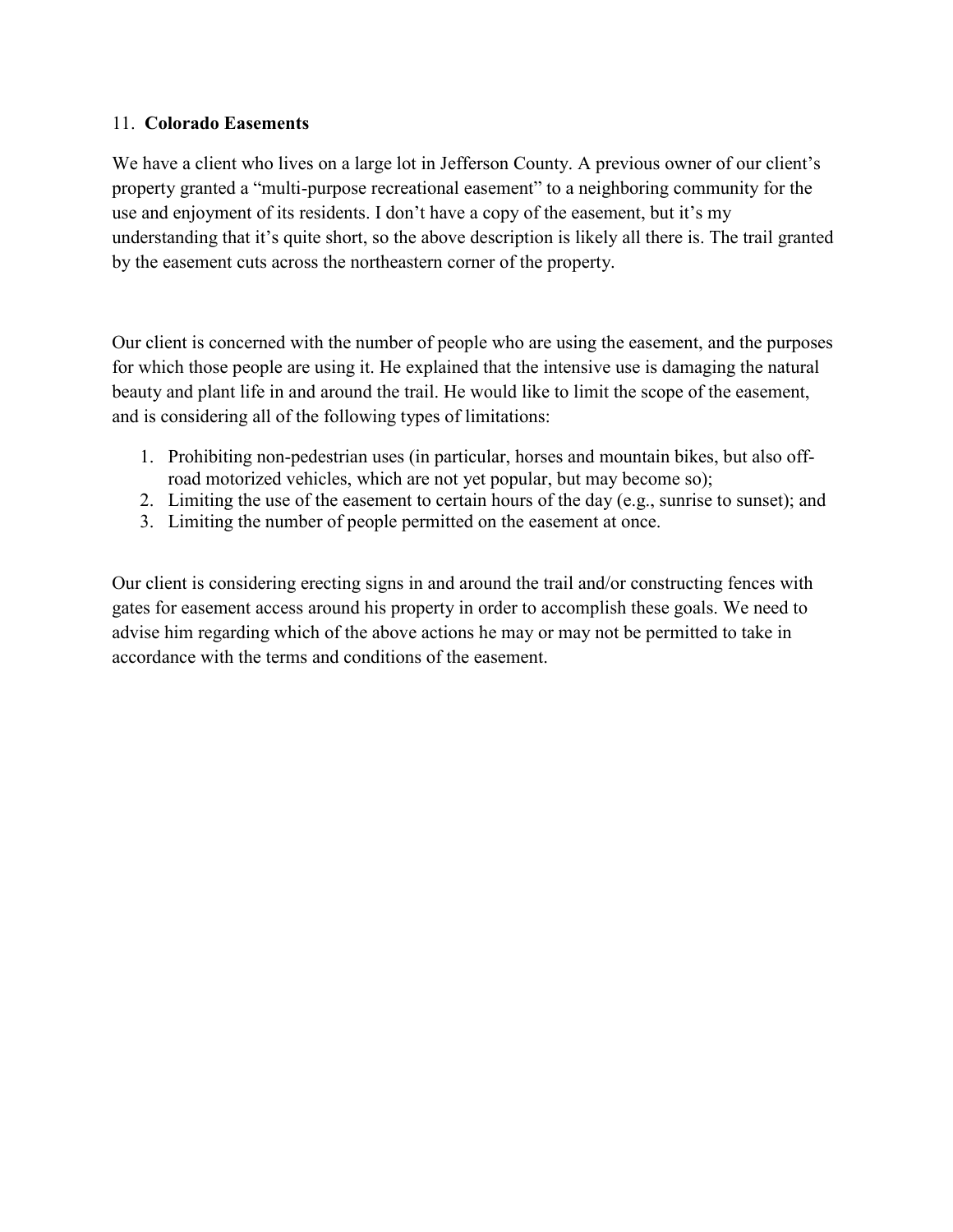#### 11. **Colorado Easements**

We have a client who lives on a large lot in Jefferson County. A previous owner of our client's property granted a "multi-purpose recreational easement" to a neighboring community for the use and enjoyment of its residents. I don't have a copy of the easement, but it's my understanding that it's quite short, so the above description is likely all there is. The trail granted by the easement cuts across the northeastern corner of the property.

Our client is concerned with the number of people who are using the easement, and the purposes for which those people are using it. He explained that the intensive use is damaging the natural beauty and plant life in and around the trail. He would like to limit the scope of the easement, and is considering all of the following types of limitations:

- 1. Prohibiting non-pedestrian uses (in particular, horses and mountain bikes, but also offroad motorized vehicles, which are not yet popular, but may become so);
- 2. Limiting the use of the easement to certain hours of the day (e.g., sunrise to sunset); and
- 3. Limiting the number of people permitted on the easement at once.

Our client is considering erecting signs in and around the trail and/or constructing fences with gates for easement access around his property in order to accomplish these goals. We need to advise him regarding which of the above actions he may or may not be permitted to take in accordance with the terms and conditions of the easement.